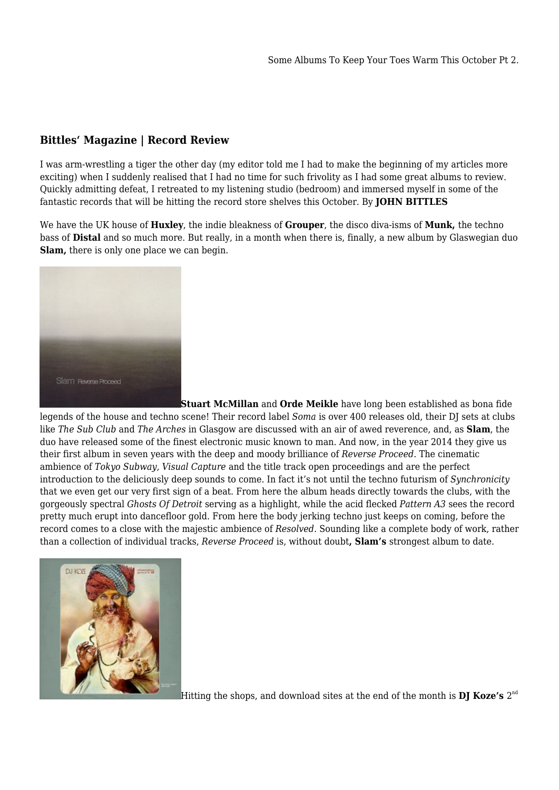## **Bittles' Magazine | Record Review**

I was arm-wrestling a tiger the other day (my editor told me I had to make the beginning of my articles more exciting) when I suddenly realised that I had no time for such frivolity as I had some great albums to review. Quickly admitting defeat, I retreated to my listening studio (bedroom) and immersed myself in some of the fantastic records that will be hitting the record store shelves this October. By **JOHN BITTLES**

We have the UK house of **Huxley**, the indie bleakness of **Grouper**, the disco diva-isms of **Munk,** the techno bass of **Distal** and so much more. But really, in a month when there is, finally, a new album by Glaswegian duo **Slam,** there is only one place we can begin.



**[S](https://titel-kulturmagazin.net/wp-content/uploads/slam_350.jpg)tuart McMillan** and **Orde Meikle** have long been established as bona fide legends of the house and techno scene! Their record label *Soma* is over 400 releases old, their DJ sets at clubs like *The Sub Club* and *The Arches* in Glasgow are discussed with an air of awed reverence, and, as **Slam**, the duo have released some of the finest electronic music known to man. And now, in the year 2014 they give us their first album in seven years with the deep and moody brilliance of *Reverse Proceed*. The cinematic ambience of *Tokyo Subway, Visual Capture* and the title track open proceedings and are the perfect introduction to the deliciously deep sounds to come. In fact it's not until the techno futurism of *Synchronicity* that we even get our very first sign of a beat. From here the album heads directly towards the clubs, with the gorgeously spectral *Ghosts Of Detroit* serving as a highlight, while the acid flecked *Pattern A3* sees the record pretty much erupt into dancefloor gold. From here the body jerking techno just keeps on coming, before the record comes to a close with the majestic ambience of *Resolved*. Sounding like a complete body of work, rather than a collection of individual tracks, *Reverse Proceed* is, without doubt**, Slam's** strongest album to date.



[H](https://titel-kulturmagazin.net/wp-content/uploads/DJ-KOZE-reincarnations350.jpg)itting the shops, and download sites at the end of the month is  $\mathbf{DJ}$  Koze's  $2^{\text{nd}}$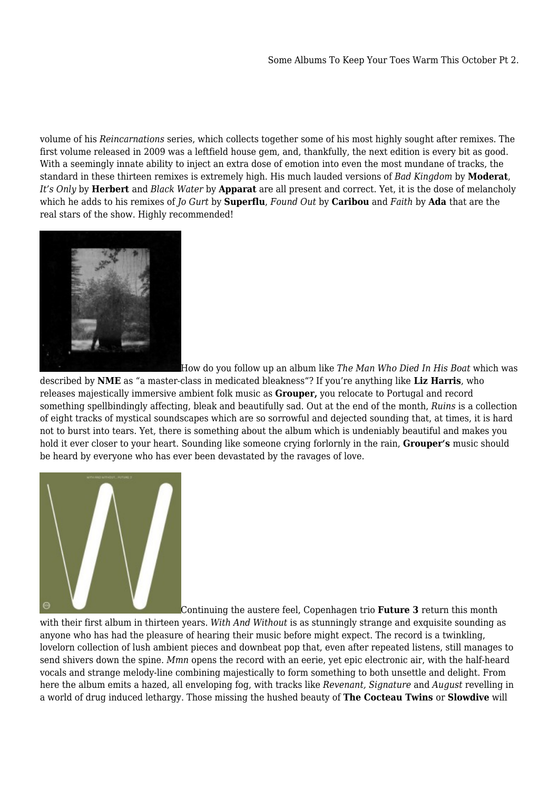volume of his *Reincarnations* series, which collects together some of his most highly sought after remixes. The first volume released in 2009 was a leftfield house gem, and, thankfully, the next edition is every bit as good. With a seemingly innate ability to inject an extra dose of emotion into even the most mundane of tracks, the standard in these thirteen remixes is extremely high. His much lauded versions of *Bad Kingdom* by **Moderat**, *It's Only* by **Herbert** and *Black Water* by **Apparat** are all present and correct. Yet, it is the dose of melancholy which he adds to his remixes of *Jo Gurt* by **Superflu**, *Found Out* by **Caribou** and *Faith* by **Ada** that are the real stars of the show. Highly recommended!



[H](https://titel-kulturmagazin.net/wp-content/uploads/KRANK189_5x5_300dpi_350.jpg)ow do you follow up an album like *The Man Who Died In His Boat* which was

described by **NME** as "a master-class in medicated bleakness"? If you're anything like **Liz Harris**, who releases majestically immersive ambient folk music as **Grouper,** you relocate to Portugal and record something spellbindingly affecting, bleak and beautifully sad. Out at the end of the month, *Ruins* is a collection of eight tracks of mystical soundscapes which are so sorrowful and dejected sounding that, at times, it is hard not to burst into tears. Yet, there is something about the album which is undeniably beautiful and makes you hold it ever closer to your heart. Sounding like someone crying forlornly in the rain, **Grouper's** music should be heard by everyone who has ever been devastated by the ravages of love.



[C](https://titel-kulturmagazin.net/wp-content/uploads/F3-Front_350.jpg)ontinuing the austere feel, Copenhagen trio **Future 3** return this month

with their first album in thirteen years. *With And Without* is as stunningly strange and exquisite sounding as anyone who has had the pleasure of hearing their music before might expect. The record is a twinkling, lovelorn collection of lush ambient pieces and downbeat pop that, even after repeated listens, still manages to send shivers down the spine. *Mmn* opens the record with an eerie, yet epic electronic air, with the half-heard vocals and strange melody-line combining majestically to form something to both unsettle and delight. From here the album emits a hazed, all enveloping fog, with tracks like *Revenant, Signature* and *August* revelling in a world of drug induced lethargy. Those missing the hushed beauty of **The Cocteau Twins** or **Slowdive** will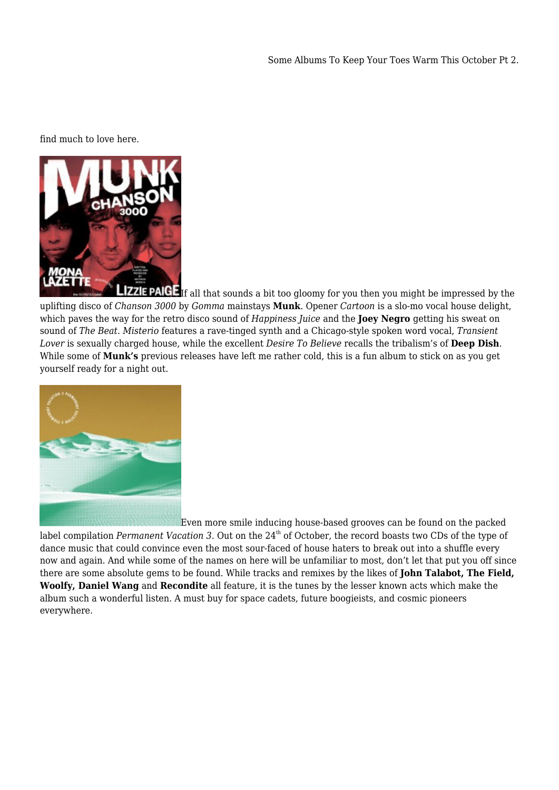find much to love here.



**L[I](https://titel-kulturmagazin.net/wp-content/uploads/Gomma200CD-artwork_350.jpg)ZZIE PAIGE** If all that sounds a bit too gloomy for you then you might be impressed by the uplifting disco of *Chanson 3000* by *Gomma* mainstays **Munk**. Opener *Cartoon* is a slo-mo vocal house delight, which paves the way for the retro disco sound of *Happiness Juice* and the **Joey Negro** getting his sweat on sound of *The Beat*. *Misterio* features a rave-tinged synth and a Chicago-style spoken word vocal, *Transient Lover* is sexually charged house, while the excellent *Desire To Believe* recalls the tribalism's of **Deep Dish**. While some of **Munk's** previous releases have left me rather cold, this is a fun album to stick on as you get yourself ready for a night out.



[E](https://titel-kulturmagazin.net/wp-content/uploads/pv133-2_350.jpg)ven more smile inducing house-based grooves can be found on the packed

label compilation *Permanent Vacation 3*. Out on the 24<sup>th</sup> of October, the record boasts two CDs of the type of dance music that could convince even the most sour-faced of house haters to break out into a shuffle every now and again. And while some of the names on here will be unfamiliar to most, don't let that put you off since there are some absolute gems to be found. While tracks and remixes by the likes of **John Talabot, The Field, Woolfy, Daniel Wang** and **Recondite** all feature, it is the tunes by the lesser known acts which make the album such a wonderful listen. A must buy for space cadets, future boogieists, and cosmic pioneers everywhere.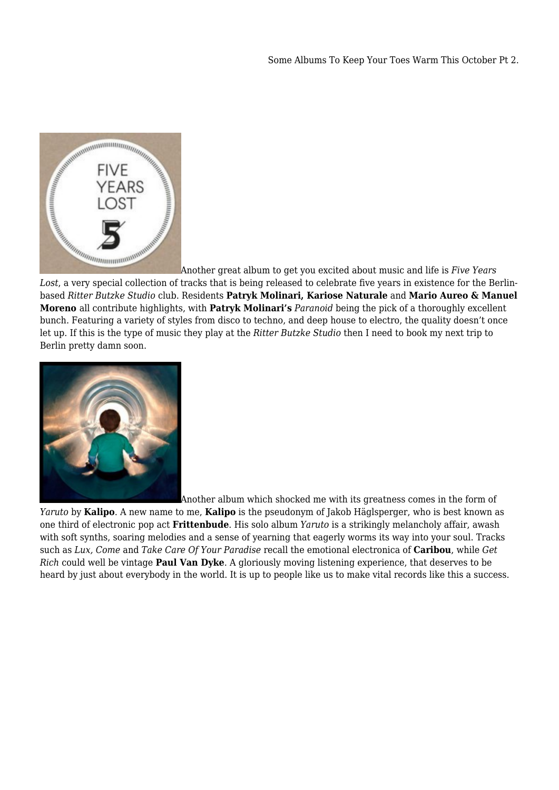

[A](https://titel-kulturmagazin.net/wp-content/uploads/Folder_3502.jpg)nother great album to get you excited about music and life is *Five Years*

*Lost*, a very special collection of tracks that is being released to celebrate five years in existence for the Berlinbased *Ritter Butzke Studio* club. Residents **Patryk Molinari, Kariose Naturale** and **Mario Aureo & Manuel Moreno** all contribute highlights, with **Patryk Molinari's** *Paranoid* being the pick of a thoroughly excellent bunch. Featuring a variety of styles from disco to techno, and deep house to electro, the quality doesn't once let up. If this is the type of music they play at the *Ritter Butzke Studio* then I need to book my next trip to Berlin pretty damn soon.



[A](https://titel-kulturmagazin.net/wp-content/uploads/ANTIME010_front_350.jpg)nother album which shocked me with its greatness comes in the form of

*Yaruto* by **Kalipo**. A new name to me, **Kalipo** is the pseudonym of Jakob Häglsperger, who is best known as one third of electronic pop act **Frittenbude**. His solo album *Yaruto* is a strikingly melancholy affair, awash with soft synths, soaring melodies and a sense of yearning that eagerly worms its way into your soul. Tracks such as *Lux, Come* and *Take Care Of Your Paradise* recall the emotional electronica of **Caribou**, while *Get Rich* could well be vintage **Paul Van Dyke**. A gloriously moving listening experience, that deserves to be heard by just about everybody in the world. It is up to people like us to make vital records like this a success.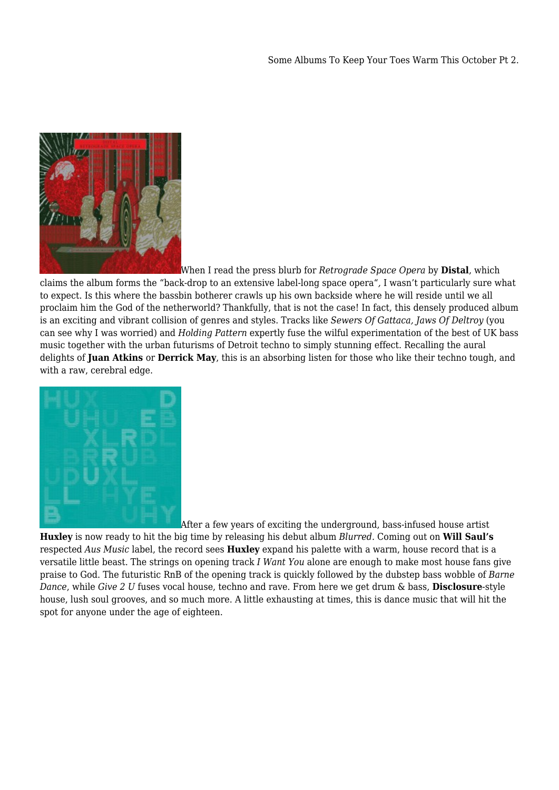

[W](https://titel-kulturmagazin.net/wp-content/uploads/distal-retrograde-space-opera_350.jpg)hen I read the press blurb for *Retrograde Space Opera* by **Distal**, which

claims the album forms the "back-drop to an extensive label-long space opera"*,* I wasn't particularly sure what to expect. Is this where the bassbin botherer crawls up his own backside where he will reside until we all proclaim him the God of the netherworld? Thankfully, that is not the case! In fact, this densely produced album is an exciting and vibrant collision of genres and styles. Tracks like *Sewers Of Gattaca, Jaws Of Deltroy* (you can see why I was worried) and *Holding Pattern* expertly fuse the wilful experimentation of the best of UK bass music together with the urban futurisms of Detroit techno to simply stunning effect. Recalling the aural delights of **Juan Atkins** or **Derrick May**, this is an absorbing listen for those who like their techno tough, and with a raw, cerebral edge.



[A](https://titel-kulturmagazin.net/wp-content/uploads/HUXLEY_350.jpg)fter a few years of exciting the underground, bass-infused house artist

**Huxley** is now ready to hit the big time by releasing his debut album *Blurred.* Coming out on **Will Saul's** respected *Aus Music* label, the record sees **Huxley** expand his palette with a warm, house record that is a versatile little beast. The strings on opening track *I Want You* alone are enough to make most house fans give praise to God. The futuristic RnB of the opening track is quickly followed by the dubstep bass wobble of *Barne Dance*, while *Give 2 U* fuses vocal house, techno and rave. From here we get drum & bass, **Disclosure**-style house, lush soul grooves, and so much more. A little exhausting at times, this is dance music that will hit the spot for anyone under the age of eighteen.